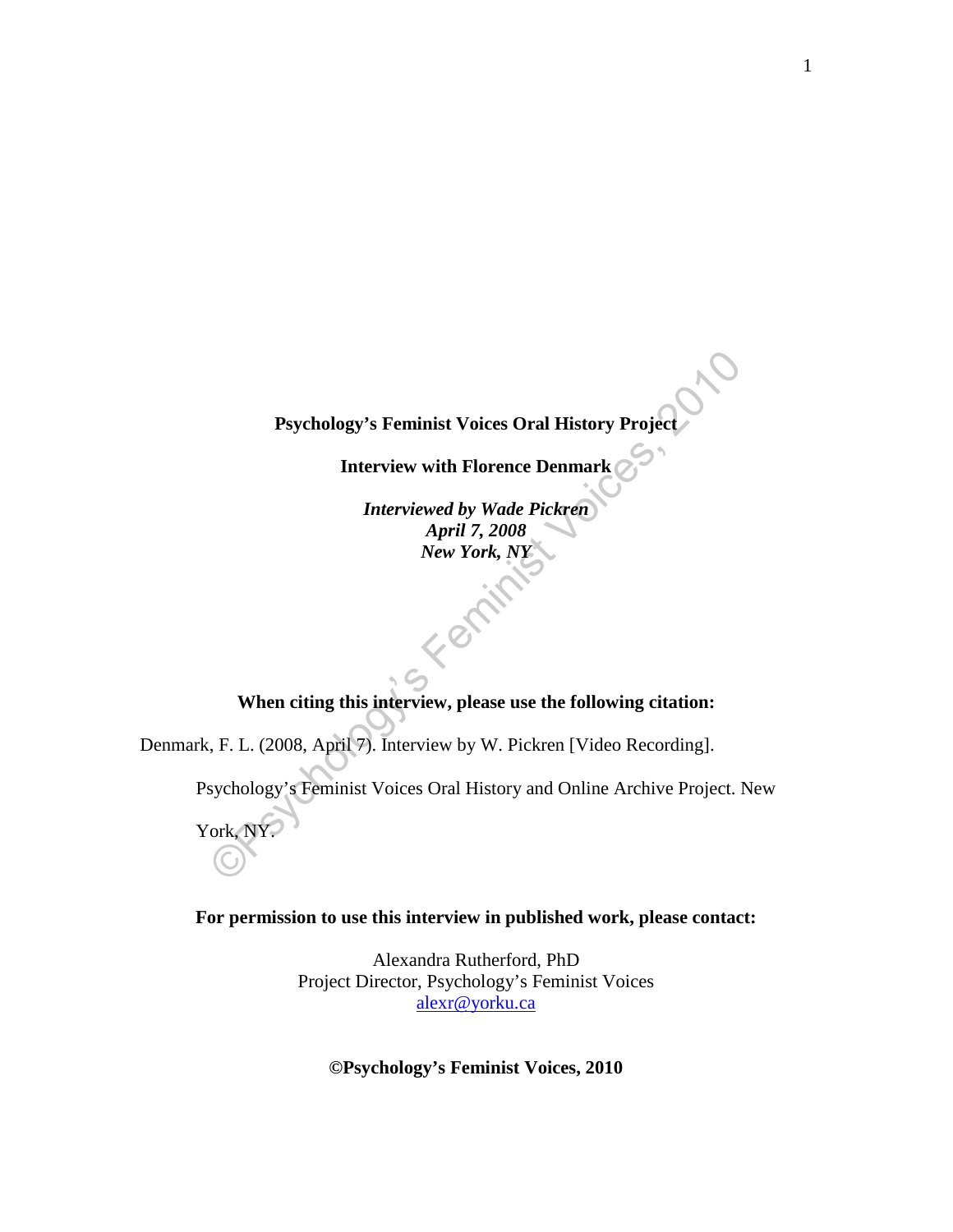**Psychology's Feminist Voices Oral History Project** 

**Interview with Florence Denmark**

Psychology's Feminist Voices Oral History Project<br>
Interview with Florence Denmark<br>
Interviewed by Wade Pickren<br>
April 7, 2008<br>
New York, NY<br>
When citing this interview, please use the following citation:<br>
... F. L. (2008, *Interviewed by Wade Pickren April 7, 2008 New York, NY* 

# **When citing this interview, please use the following citation:**

Denmark, F. L. (2008, April 7). Interview by W. Pickren [Video Recording].

Psychology's Feminist Voices Oral History and Online Archive Project. New

York, NY.

### **For permission to use this interview in published work, please contact:**

Alexandra Rutherford, PhD Project Director, Psychology's Feminist Voices [alexr@yorku.ca](mailto:alexr@yorku.ca)

# **©Psychology's Feminist Voices, 2010**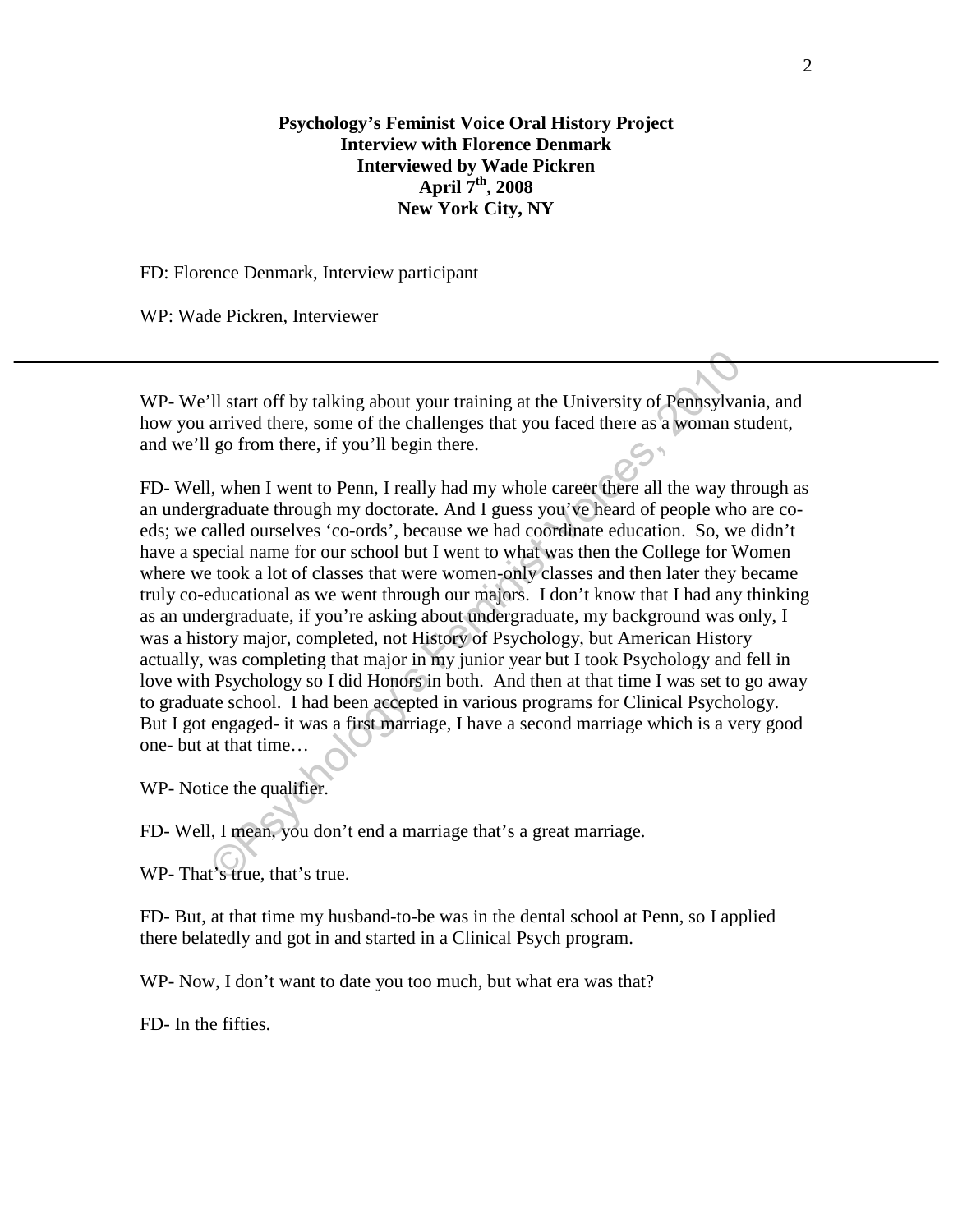# **Psychology's Feminist Voice Oral History Project Interview with Florence Denmark Interviewed by Wade Pickren April 7th, 2008 New York City, NY**

FD: Florence Denmark, Interview participant

WP: Wade Pickren, Interviewer

WP- We'll start off by talking about your training at the University of Pennsylvania, and how you arrived there, some of the challenges that you faced there as a woman student, and we'll go from there, if you'll begin there.

The start off by talking about your training at the University of Pemasylvan arrived there, some of the challenges that you faced there as a woman st go from there, if you'll begin there.<br>
1, when I went to Penn, I really FD- Well, when I went to Penn, I really had my whole career there all the way through as an undergraduate through my doctorate. And I guess you've heard of people who are coeds; we called ourselves 'co-ords', because we had coordinate education. So, we didn't have a special name for our school but I went to what was then the College for Women where we took a lot of classes that were women-only classes and then later they became truly co-educational as we went through our majors. I don't know that I had any thinking as an undergraduate, if you're asking about undergraduate, my background was only, I was a history major, completed, not History of Psychology, but American History actually, was completing that major in my junior year but I took Psychology and fell in love with Psychology so I did Honors in both. And then at that time I was set to go away to graduate school. I had been accepted in various programs for Clinical Psychology. But I got engaged- it was a first marriage, I have a second marriage which is a very good one- but at that time…

WP- Notice the qualifier.

FD- Well, I mean, you don't end a marriage that's a great marriage.

WP- That's true, that's true.

FD- But, at that time my husband-to-be was in the dental school at Penn, so I applied there belatedly and got in and started in a Clinical Psych program.

WP- Now, I don't want to date you too much, but what era was that?

FD- In the fifties.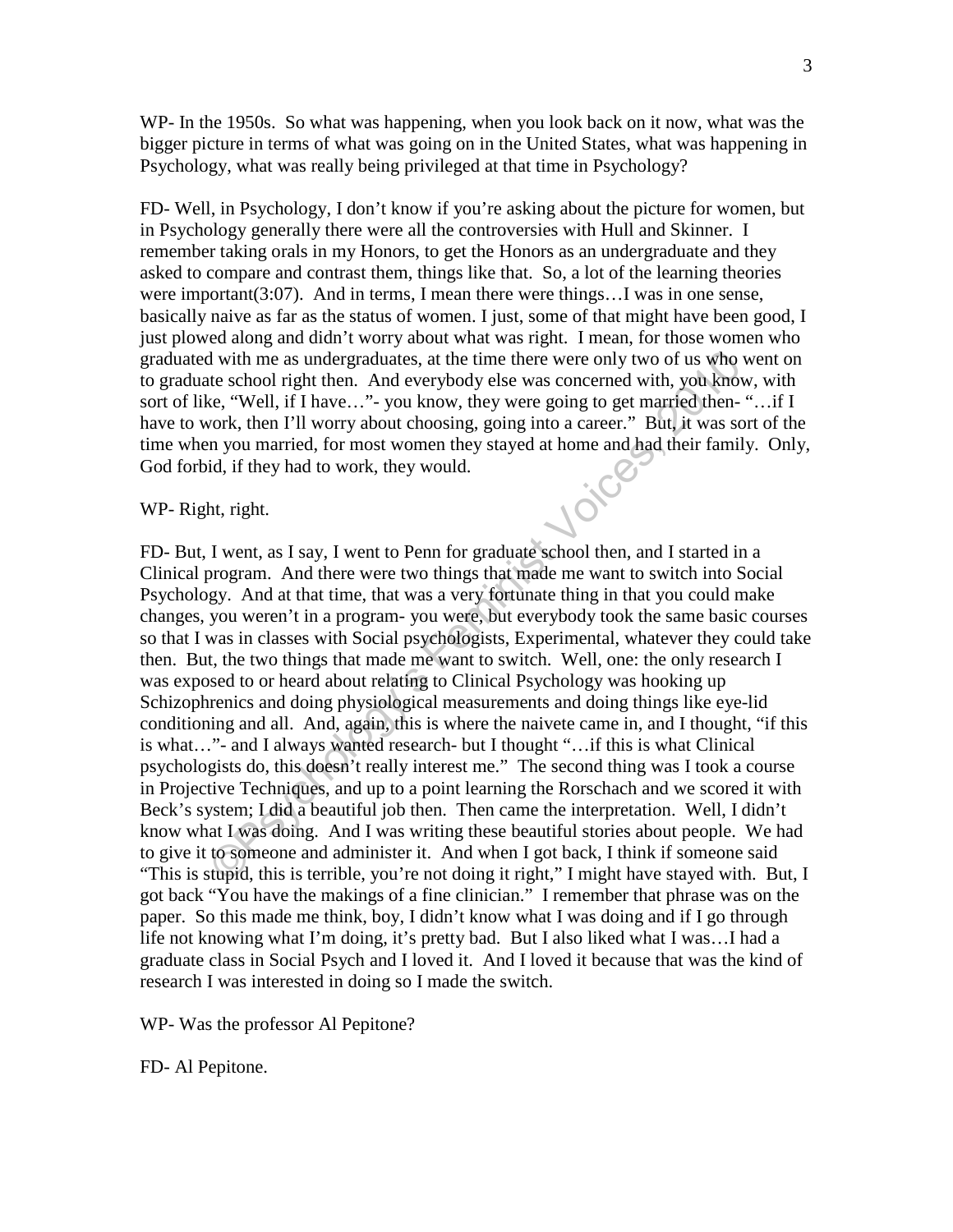WP- In the 1950s. So what was happening, when you look back on it now, what was the bigger picture in terms of what was going on in the United States, what was happening in Psychology, what was really being privileged at that time in Psychology?

FD- Well, in Psychology, I don't know if you're asking about the picture for women, but in Psychology generally there were all the controversies with Hull and Skinner. I remember taking orals in my Honors, to get the Honors as an undergraduate and they asked to compare and contrast them, things like that. So, a lot of the learning theories were important( $3:07$ ). And in terms, I mean there were things...I was in one sense, basically naive as far as the status of women. I just, some of that might have been good, I just plowed along and didn't worry about what was right. I mean, for those women who graduated with me as undergraduates, at the time there were only two of us who went on to graduate school right then. And everybody else was concerned with, you know, with sort of like, "Well, if I have…"- you know, they were going to get married then- "…if I have to work, then I'll worry about choosing, going into a career." But, it was sort of the time when you married, for most women they stayed at home and had their family. Only, God forbid, if they had to work, they would.<br>WP- Right, right. God forbid, if they had to work, they would.

#### WP- Right, right.

d with me as undergraduates, at the time there were only two of us who w<br>
tet e school right then. And everybody else was concerned with, you know<br>
e.e, "Well, if I have..." - you know, they were going to get married, then FD- But, I went, as I say, I went to Penn for graduate school then, and I started in a Clinical program. And there were two things that made me want to switch into Social Psychology. And at that time, that was a very fortunate thing in that you could make changes, you weren't in a program- you were, but everybody took the same basic courses so that I was in classes with Social psychologists, Experimental, whatever they could take then. But, the two things that made me want to switch. Well, one: the only research I was exposed to or heard about relating to Clinical Psychology was hooking up Schizophrenics and doing physiological measurements and doing things like eye-lid conditioning and all. And, again, this is where the naivete came in, and I thought, "if this is what…"- and I always wanted research- but I thought "…if this is what Clinical psychologists do, this doesn't really interest me." The second thing was I took a course in Projective Techniques, and up to a point learning the Rorschach and we scored it with Beck's system; I did a beautiful job then. Then came the interpretation. Well, I didn't know what I was doing. And I was writing these beautiful stories about people. We had to give it to someone and administer it. And when I got back, I think if someone said "This is stupid, this is terrible, you're not doing it right," I might have stayed with. But, I got back "You have the makings of a fine clinician." I remember that phrase was on the paper. So this made me think, boy, I didn't know what I was doing and if I go through life not knowing what I'm doing, it's pretty bad. But I also liked what I was…I had a graduate class in Social Psych and I loved it. And I loved it because that was the kind of research I was interested in doing so I made the switch.

WP- Was the professor Al Pepitone?

FD- Al Pepitone.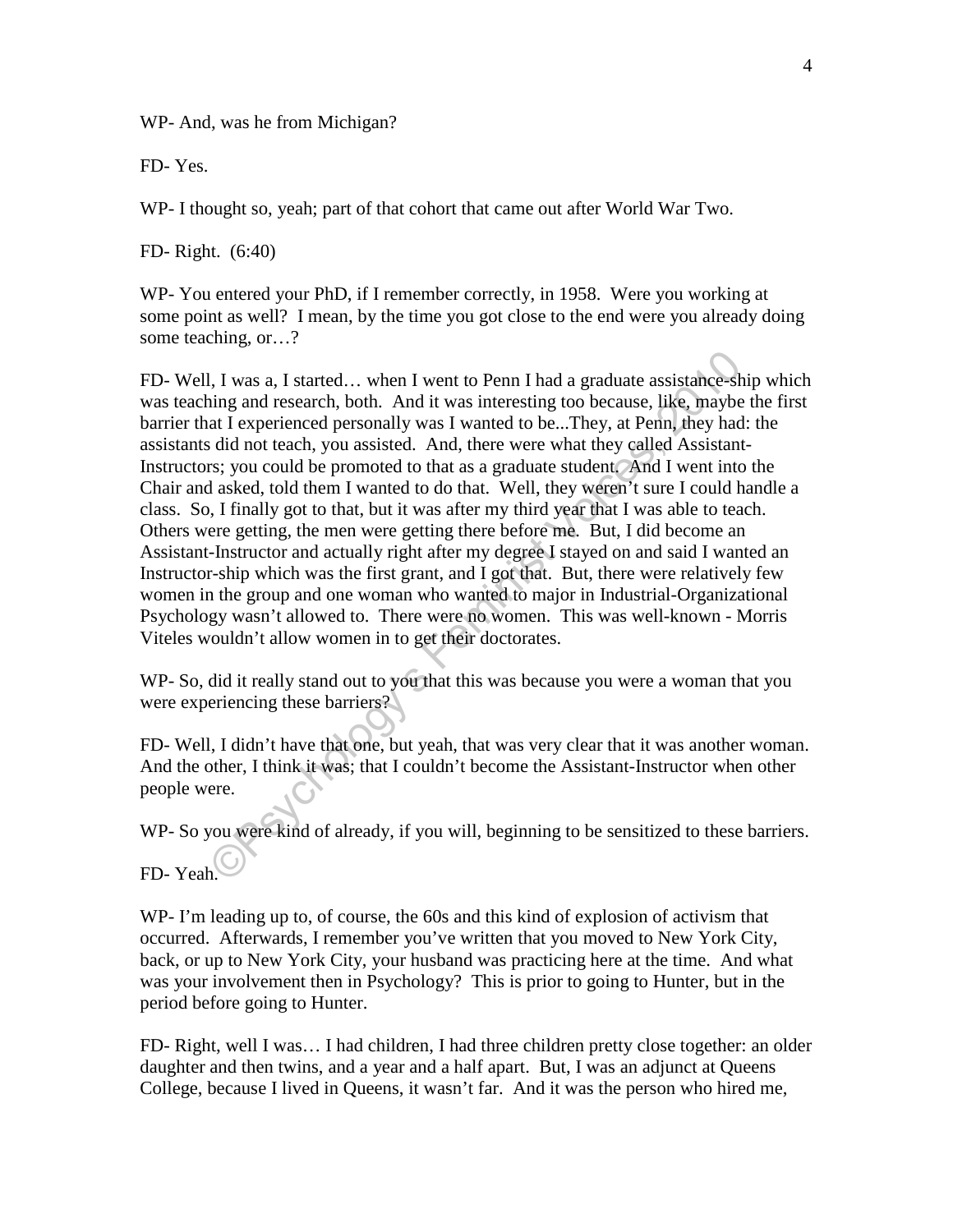WP- And, was he from Michigan?

FD- Yes.

WP- I thought so, yeah; part of that cohort that came out after World War Two.

FD- Right. (6:40)

WP- You entered your PhD, if I remember correctly, in 1958. Were you working at some point as well? I mean, by the time you got close to the end were you already doing some teaching, or…?

1, I was a, I started... when I went to Penn I had a graduate assistance-shing and research, both. And it was interesting too because, like, maybe at I experienced personally was I wanted to be...They, at Penn, they had: d FD- Well, I was a, I started… when I went to Penn I had a graduate assistance-ship which was teaching and research, both. And it was interesting too because, like, maybe the first barrier that I experienced personally was I wanted to be...They, at Penn, they had: the assistants did not teach, you assisted. And, there were what they called Assistant-Instructors; you could be promoted to that as a graduate student. And I went into the Chair and asked, told them I wanted to do that. Well, they weren't sure I could handle a class. So, I finally got to that, but it was after my third year that I was able to teach. Others were getting, the men were getting there before me. But, I did become an Assistant-Instructor and actually right after my degree I stayed on and said I wanted an Instructor-ship which was the first grant, and I got that. But, there were relatively few women in the group and one woman who wanted to major in Industrial-Organizational Psychology wasn't allowed to. There were no women. This was well-known - Morris Viteles wouldn't allow women in to get their doctorates.

WP- So, did it really stand out to you that this was because you were a woman that you were experiencing these barriers?

FD- Well, I didn't have that one, but yeah, that was very clear that it was another woman. And the other, I think it was; that I couldn't become the Assistant-Instructor when other people were.

WP- So you were kind of already, if you will, beginning to be sensitized to these barriers.

FD-Yeah<sup>.</sup>

WP- I'm leading up to, of course, the 60s and this kind of explosion of activism that occurred. Afterwards, I remember you've written that you moved to New York City, back, or up to New York City, your husband was practicing here at the time. And what was your involvement then in Psychology? This is prior to going to Hunter, but in the period before going to Hunter.

FD- Right, well I was… I had children, I had three children pretty close together: an older daughter and then twins, and a year and a half apart. But, I was an adjunct at Queens College, because I lived in Queens, it wasn't far. And it was the person who hired me,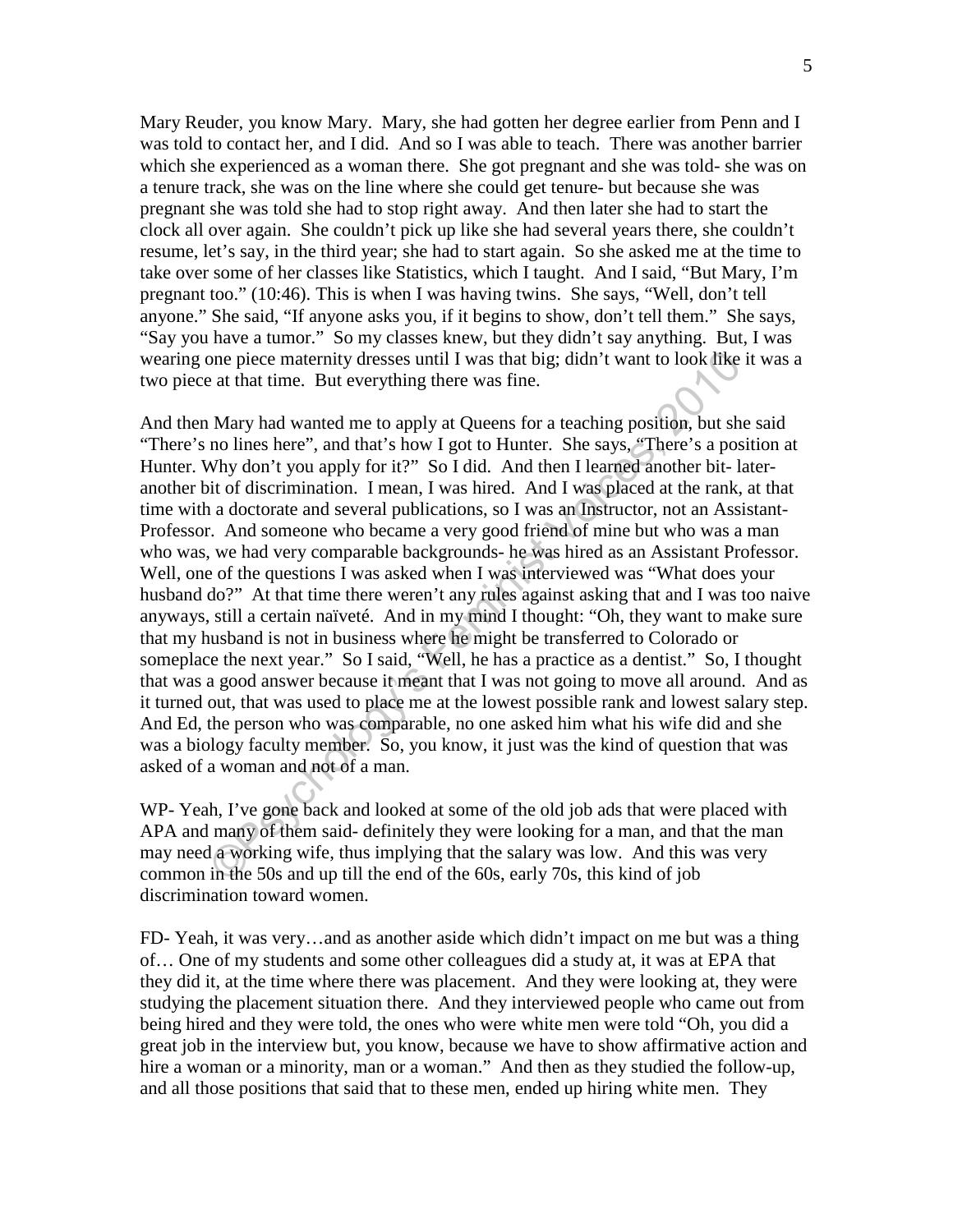Mary Reuder, you know Mary. Mary, she had gotten her degree earlier from Penn and I was told to contact her, and I did. And so I was able to teach. There was another barrier which she experienced as a woman there. She got pregnant and she was told- she was on a tenure track, she was on the line where she could get tenure- but because she was pregnant she was told she had to stop right away. And then later she had to start the clock all over again. She couldn't pick up like she had several years there, she couldn't resume, let's say, in the third year; she had to start again. So she asked me at the time to take over some of her classes like Statistics, which I taught. And I said, "But Mary, I'm pregnant too." (10:46). This is when I was having twins. She says, "Well, don't tell anyone." She said, "If anyone asks you, if it begins to show, don't tell them." She says, "Say you have a tumor." So my classes knew, but they didn't say anything. But, I was wearing one piece maternity dresses until I was that big; didn't want to look like it was a two piece at that time. But everything there was fine.

one piece maternity dresses until I was that big; didn't want to look like i<br>at that time. But everything there was fine.<br>Mary had wanted me to apply at Queens for a teaching position, but she<br>no lines here", and that's ho And then Mary had wanted me to apply at Queens for a teaching position, but she said "There's no lines here", and that's how I got to Hunter. She says, "There's a position at Hunter. Why don't you apply for it?" So I did. And then I learned another bit-lateranother bit of discrimination. I mean, I was hired. And I was placed at the rank, at that time with a doctorate and several publications, so I was an Instructor, not an Assistant-Professor. And someone who became a very good friend of mine but who was a man who was, we had very comparable backgrounds- he was hired as an Assistant Professor. Well, one of the questions I was asked when I was interviewed was "What does your husband do?" At that time there weren't any rules against asking that and I was too naive anyways, still a certain naïveté. And in my mind I thought: "Oh, they want to make sure that my husband is not in business where he might be transferred to Colorado or someplace the next year." So I said, "Well, he has a practice as a dentist." So, I thought that was a good answer because it meant that I was not going to move all around. And as it turned out, that was used to place me at the lowest possible rank and lowest salary step. And Ed, the person who was comparable, no one asked him what his wife did and she was a biology faculty member. So, you know, it just was the kind of question that was asked of a woman and not of a man.

WP- Yeah, I've gone back and looked at some of the old job ads that were placed with APA and many of them said- definitely they were looking for a man, and that the man may need a working wife, thus implying that the salary was low. And this was very common in the 50s and up till the end of the 60s, early 70s, this kind of job discrimination toward women.

FD- Yeah, it was very…and as another aside which didn't impact on me but was a thing of… One of my students and some other colleagues did a study at, it was at EPA that they did it, at the time where there was placement. And they were looking at, they were studying the placement situation there. And they interviewed people who came out from being hired and they were told, the ones who were white men were told "Oh, you did a great job in the interview but, you know, because we have to show affirmative action and hire a woman or a minority, man or a woman." And then as they studied the follow-up, and all those positions that said that to these men, ended up hiring white men. They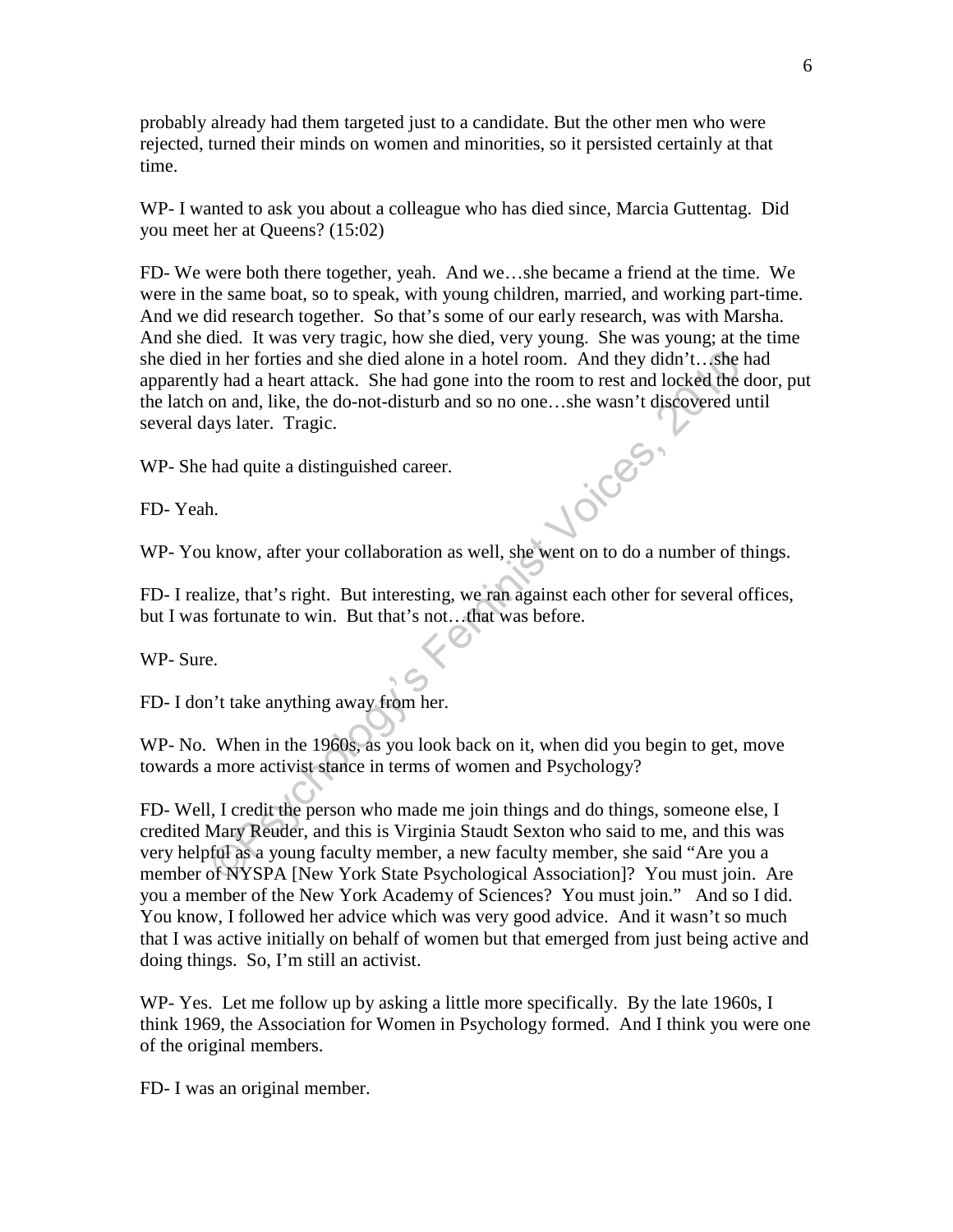probably already had them targeted just to a candidate. But the other men who were rejected, turned their minds on women and minorities, so it persisted certainly at that time.

WP- I wanted to ask you about a colleague who has died since, Marcia Guttentag. Did you meet her at Queens? (15:02)

FD- We were both there together, yeah. And we…she became a friend at the time. We were in the same boat, so to speak, with young children, married, and working part-time. And we did research together. So that's some of our early research, was with Marsha. And she died. It was very tragic, how she died, very young. She was young; at the time she died in her forties and she died alone in a hotel room. And they didn't…she had apparently had a heart attack. She had gone into the room to rest and locked the door, put the latch on and, like, the do-not-disturb and so no one…she wasn't discovered until several days later. Tragic.

WP- She had quite a distinguished career.

FD- Yeah.

WP- You know, after your collaboration as well, she went on to do a number of things.

FD- I realize, that's right. But interesting, we ran against each other for several offices, but I was fortunate to win. But that's not…that was before.

WP- Sure.

FD- I don't take anything away from her.

WP- No. When in the 1960s, as you look back on it, when did you begin to get, move towards a more activist stance in terms of women and Psychology?

in her forties and she died alone in a hotel room. And they didn't... she he<br>shows had a heart attack. She had gone into the room to rest and locked the do<br>not and, like, the do-not-disturb and so no one...she wasn't disco FD- Well, I credit the person who made me join things and do things, someone else, I credited Mary Reuder, and this is Virginia Staudt Sexton who said to me, and this was very helpful as a young faculty member, a new faculty member, she said "Are you a member of NYSPA [New York State Psychological Association]? You must join. Are you a member of the New York Academy of Sciences? You must join." And so I did. You know, I followed her advice which was very good advice. And it wasn't so much that I was active initially on behalf of women but that emerged from just being active and doing things. So, I'm still an activist.

WP- Yes. Let me follow up by asking a little more specifically. By the late 1960s, I think 1969, the Association for Women in Psychology formed. And I think you were one of the original members.

FD- I was an original member.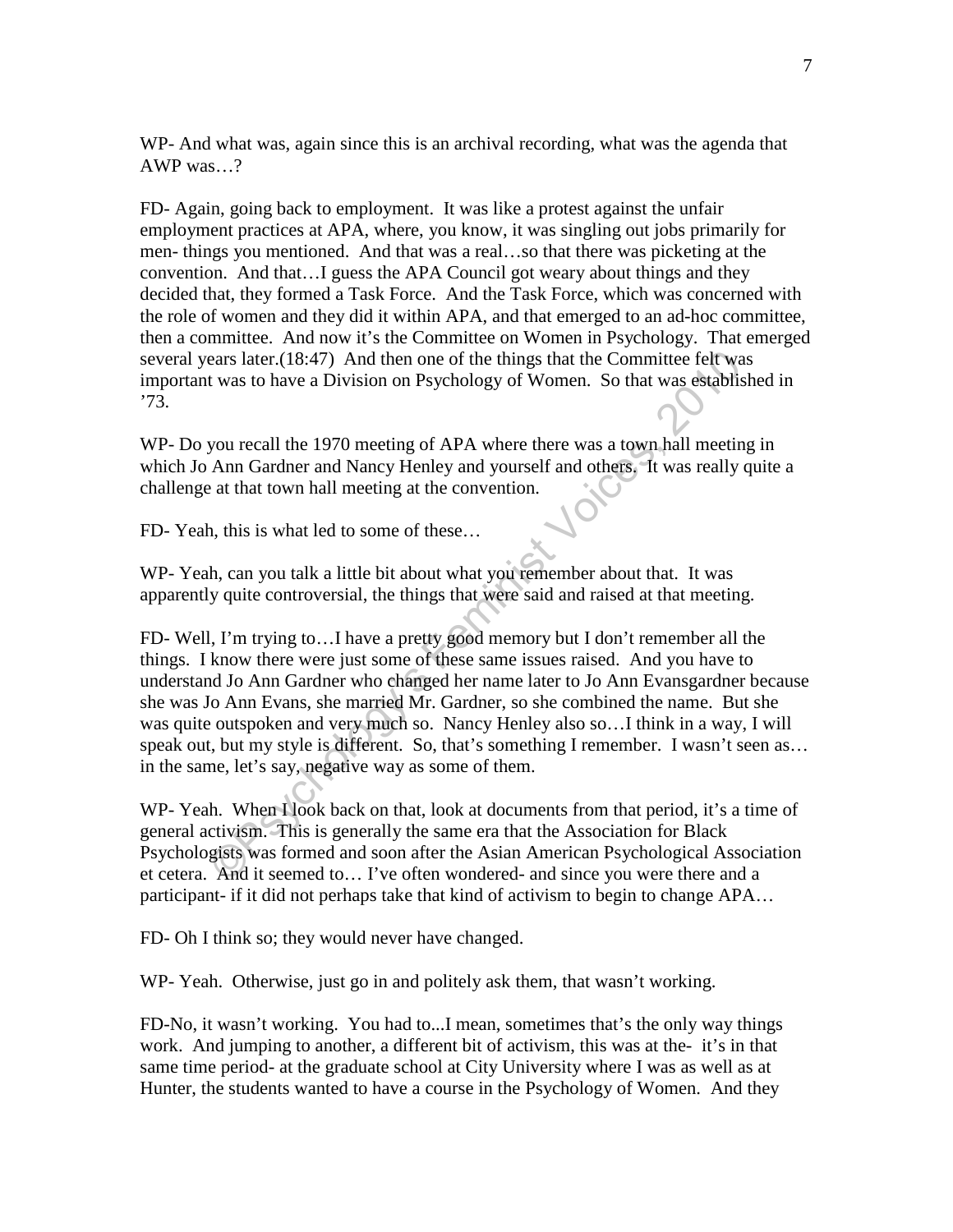WP- And what was, again since this is an archival recording, what was the agenda that AWP was…?

FD- Again, going back to employment. It was like a protest against the unfair employment practices at APA, where, you know, it was singling out jobs primarily for men- things you mentioned. And that was a real…so that there was picketing at the convention. And that…I guess the APA Council got weary about things and they decided that, they formed a Task Force. And the Task Force, which was concerned with the role of women and they did it within APA, and that emerged to an ad-hoc committee, then a committee. And now it's the Committee on Women in Psychology. That emerged several years later.(18:47) And then one of the things that the Committee felt was important was to have a Division on Psychology of Women. So that was established in '73.

WP- Do you recall the 1970 meeting of APA where there was a town hall meeting in which Jo Ann Gardner and Nancy Henley and yourself and others. It was really quite a challenge at that town hall meeting at the convention.

FD- Yeah, this is what led to some of these…

WP- Yeah, can you talk a little bit about what you remember about that. It was apparently quite controversial, the things that were said and raised at that meeting.

ears later.(18:47) And then one of the things that the Committee felt was<br>t was to have a Division on Psychology of Women. So that was establish<br>you recall the 1970 meeting of APA where there was a town hall meeting<br>Ann Ga FD- Well, I'm trying to…I have a pretty good memory but I don't remember all the things. I know there were just some of these same issues raised. And you have to understand Jo Ann Gardner who changed her name later to Jo Ann Evansgardner because she was Jo Ann Evans, she married Mr. Gardner, so she combined the name. But she was quite outspoken and very much so. Nancy Henley also so…I think in a way, I will speak out, but my style is different. So, that's something I remember. I wasn't seen as... in the same, let's say, negative way as some of them.

WP- Yeah. When I look back on that, look at documents from that period, it's a time of general activism. This is generally the same era that the Association for Black Psychologists was formed and soon after the Asian American Psychological Association et cetera. And it seemed to… I've often wondered- and since you were there and a participant- if it did not perhaps take that kind of activism to begin to change APA…

FD- Oh I think so; they would never have changed.

WP- Yeah. Otherwise, just go in and politely ask them, that wasn't working.

FD-No, it wasn't working. You had to...I mean, sometimes that's the only way things work. And jumping to another, a different bit of activism, this was at the- it's in that same time period- at the graduate school at City University where I was as well as at Hunter, the students wanted to have a course in the Psychology of Women. And they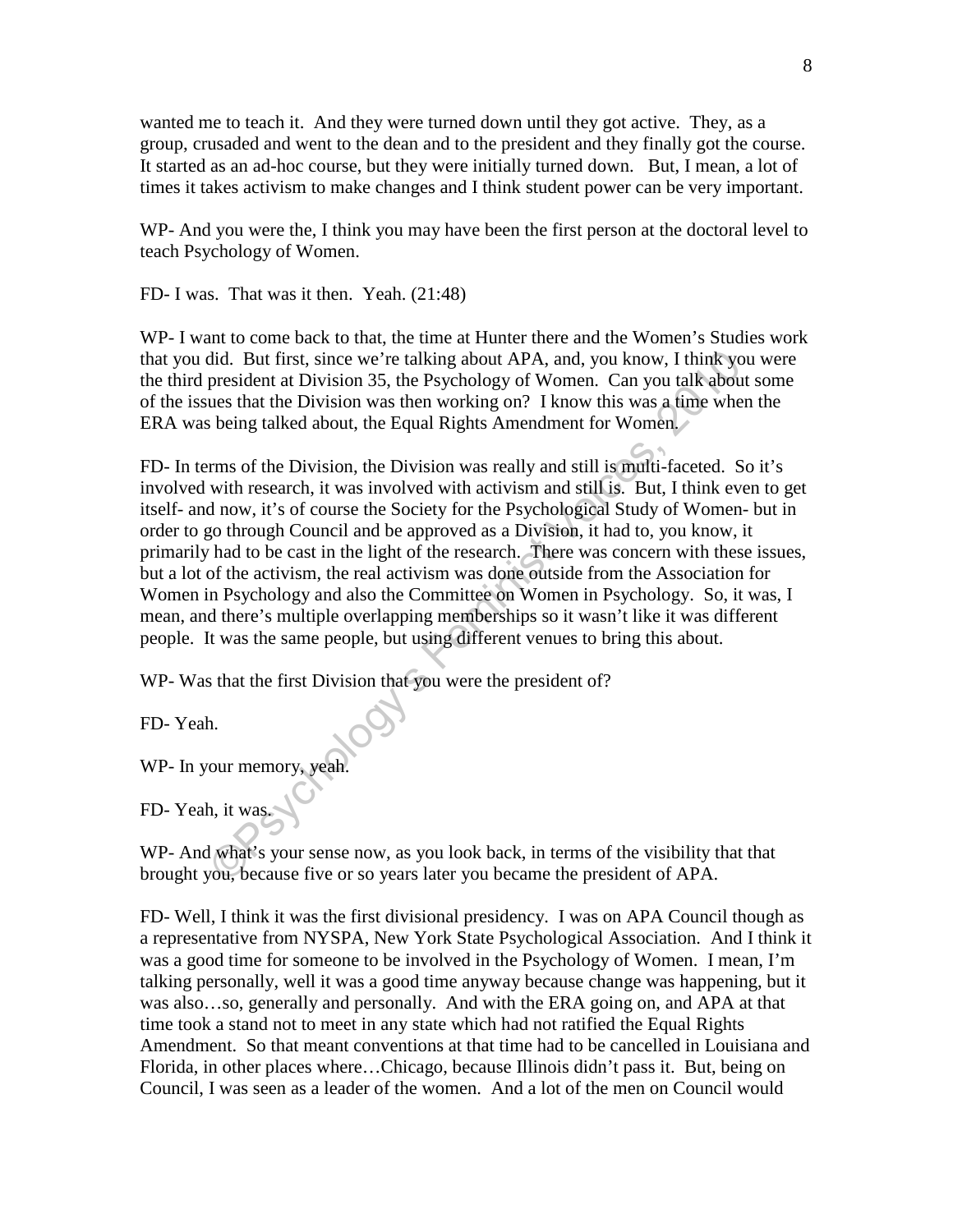wanted me to teach it. And they were turned down until they got active. They, as a group, crusaded and went to the dean and to the president and they finally got the course. It started as an ad-hoc course, but they were initially turned down. But, I mean, a lot of times it takes activism to make changes and I think student power can be very important.

WP- And you were the, I think you may have been the first person at the doctoral level to teach Psychology of Women.

FD- I was. That was it then. Yeah. (21:48)

WP- I want to come back to that, the time at Hunter there and the Women's Studies work that you did. But first, since we're talking about APA, and, you know, I think you were the third president at Division 35, the Psychology of Women. Can you talk about some of the issues that the Division was then working on? I know this was a time when the ERA was being talked about, the Equal Rights Amendment for Women.

did. But first, since we're talking about APA, and, you know, I think you<br>president at Division 35, the Psychology of Women. Can you talk about<br>ues that the Division was then working on? I know this was a time when<br>being t FD- In terms of the Division, the Division was really and still is multi-faceted. So it's involved with research, it was involved with activism and still is. But, I think even to get itself- and now, it's of course the Society for the Psychological Study of Women- but in order to go through Council and be approved as a Division, it had to, you know, it primarily had to be cast in the light of the research. There was concern with these issues, but a lot of the activism, the real activism was done outside from the Association for Women in Psychology and also the Committee on Women in Psychology. So, it was, I mean, and there's multiple overlapping memberships so it wasn't like it was different people. It was the same people, but using different venues to bring this about.

WP- Was that the first Division that you were the president of?

FD- Yeah.

WP- In your memory, yeah.

FD- Yeah, it was.

WP- And what's your sense now, as you look back, in terms of the visibility that that brought you, because five or so years later you became the president of APA.

FD- Well, I think it was the first divisional presidency. I was on APA Council though as a representative from NYSPA, New York State Psychological Association. And I think it was a good time for someone to be involved in the Psychology of Women. I mean, I'm talking personally, well it was a good time anyway because change was happening, but it was also…so, generally and personally. And with the ERA going on, and APA at that time took a stand not to meet in any state which had not ratified the Equal Rights Amendment. So that meant conventions at that time had to be cancelled in Louisiana and Florida, in other places where…Chicago, because Illinois didn't pass it. But, being on Council, I was seen as a leader of the women. And a lot of the men on Council would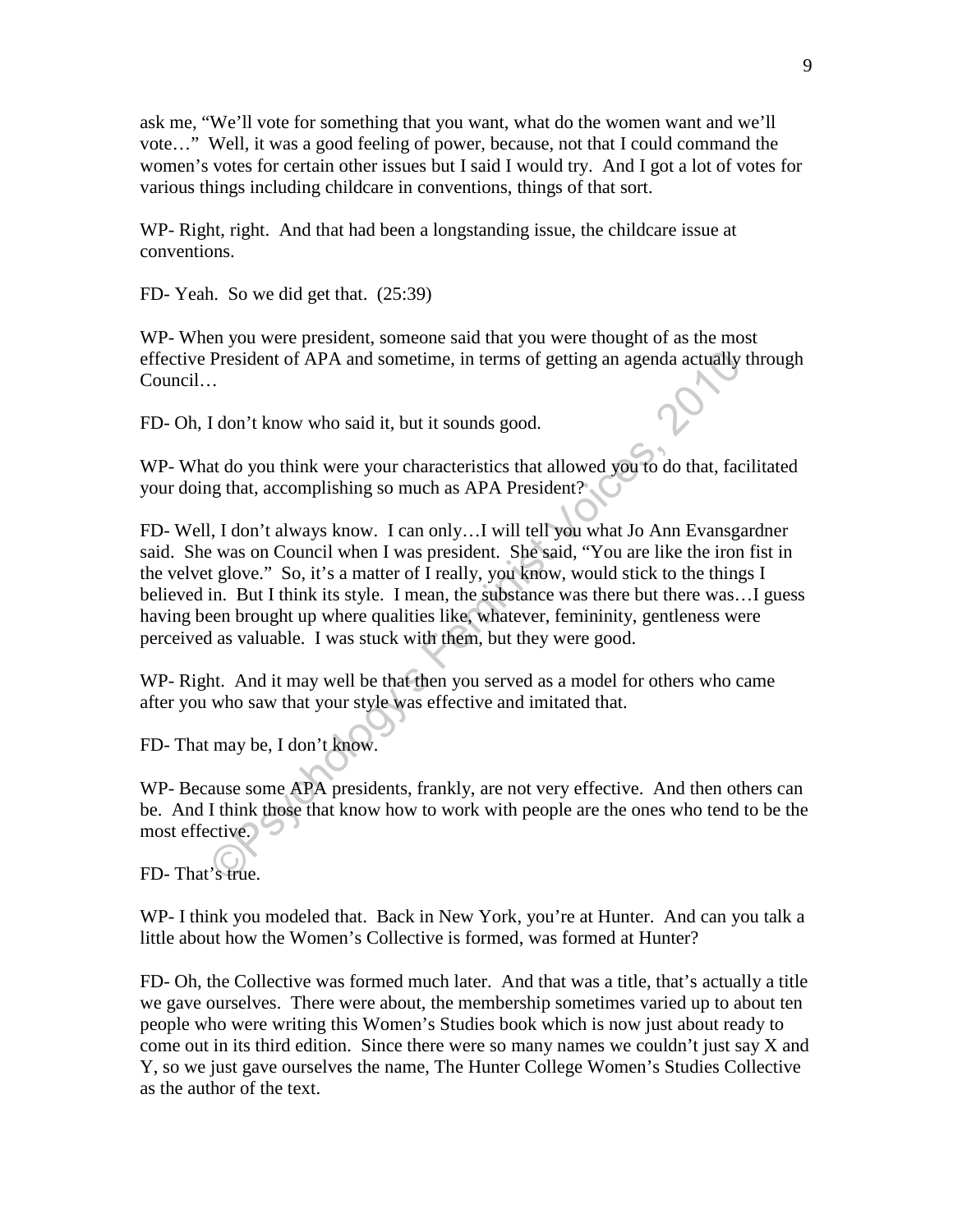ask me, "We'll vote for something that you want, what do the women want and we'll vote…" Well, it was a good feeling of power, because, not that I could command the women's votes for certain other issues but I said I would try. And I got a lot of votes for various things including childcare in conventions, things of that sort.

WP- Right, right. And that had been a longstanding issue, the childcare issue at conventions.

FD- Yeah. So we did get that. (25:39)

WP- When you were president, someone said that you were thought of as the most effective President of APA and sometime, in terms of getting an agenda actually through Council…

FD- Oh, I don't know who said it, but it sounds good.

WP- What do you think were your characteristics that allowed you to do that, facilitated your doing that, accomplishing so much as APA President?

President of APA and sometime, in terms of getting an agenda actually the President of APA and sometime, in terms of getting an agenda actually the sum of the state of the state of the state of the state of the state of th FD- Well, I don't always know. I can only…I will tell you what Jo Ann Evansgardner said. She was on Council when I was president. She said, "You are like the iron fist in the velvet glove." So, it's a matter of I really, you know, would stick to the things I believed in. But I think its style. I mean, the substance was there but there was…I guess having been brought up where qualities like, whatever, femininity, gentleness were perceived as valuable. I was stuck with them, but they were good.

WP- Right. And it may well be that then you served as a model for others who came after you who saw that your style was effective and imitated that.

FD- That may be, I don't know.

WP- Because some APA presidents, frankly, are not very effective. And then others can be. And I think those that know how to work with people are the ones who tend to be the most effective.

FD- That's true.

WP- I think you modeled that. Back in New York, you're at Hunter. And can you talk a little about how the Women's Collective is formed, was formed at Hunter?

FD- Oh, the Collective was formed much later. And that was a title, that's actually a title we gave ourselves. There were about, the membership sometimes varied up to about ten people who were writing this Women's Studies book which is now just about ready to come out in its third edition. Since there were so many names we couldn't just say X and Y, so we just gave ourselves the name, The Hunter College Women's Studies Collective as the author of the text.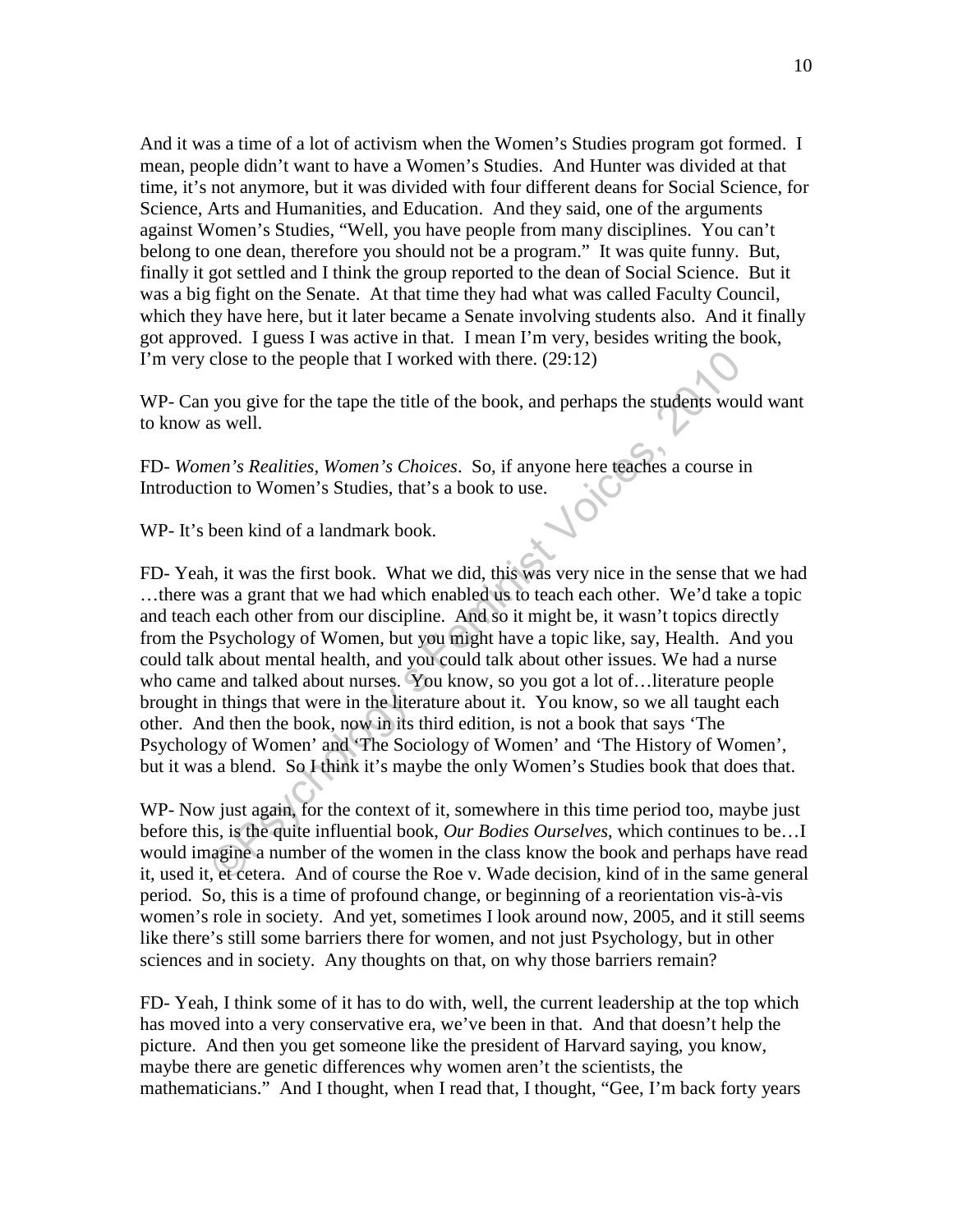And it was a time of a lot of activism when the Women's Studies program got formed. I mean, people didn't want to have a Women's Studies. And Hunter was divided at that time, it's not anymore, but it was divided with four different deans for Social Science, for Science, Arts and Humanities, and Education. And they said, one of the arguments against Women's Studies, "Well, you have people from many disciplines. You can't belong to one dean, therefore you should not be a program." It was quite funny. But, finally it got settled and I think the group reported to the dean of Social Science. But it was a big fight on the Senate. At that time they had what was called Faculty Council, which they have here, but it later became a Senate involving students also. And it finally got approved. I guess I was active in that. I mean I'm very, besides writing the book, I'm very close to the people that I worked with there. (29:12)

WP- Can you give for the tape the title of the book, and perhaps the students would want to know as well.

FD- *Women's Realities, Women's Choices*. So, if anyone here teaches a course in Introduction to Women's Studies, that's a book to use.

WP- It's been kind of a landmark book.

close to the people that I worked with there. (29:12)<br>you give for the tape the title of the book, and perhaps the students woul<br>sa well.<br><br>*nen's Realities, Women's Choices.* So, if anyone here teaches a course in<br>ion to W FD- Yeah, it was the first book. What we did, this was very nice in the sense that we had …there was a grant that we had which enabled us to teach each other. We'd take a topic and teach each other from our discipline. And so it might be, it wasn't topics directly from the Psychology of Women, but you might have a topic like, say, Health. And you could talk about mental health, and you could talk about other issues. We had a nurse who came and talked about nurses. You know, so you got a lot of…literature people brought in things that were in the literature about it. You know, so we all taught each other. And then the book, now in its third edition, is not a book that says 'The Psychology of Women' and 'The Sociology of Women' and 'The History of Women', but it was a blend. So I think it's maybe the only Women's Studies book that does that.

WP- Now just again, for the context of it, somewhere in this time period too, maybe just before this, is the quite influential book, *Our Bodies Ourselves*, which continues to be…I would imagine a number of the women in the class know the book and perhaps have read it, used it, et cetera. And of course the Roe v. Wade decision, kind of in the same general period. So, this is a time of profound change, or beginning of a reorientation vis-à-vis women's role in society. And yet, sometimes I look around now, 2005, and it still seems like there's still some barriers there for women, and not just Psychology, but in other sciences and in society. Any thoughts on that, on why those barriers remain?

FD- Yeah, I think some of it has to do with, well, the current leadership at the top which has moved into a very conservative era, we've been in that. And that doesn't help the picture. And then you get someone like the president of Harvard saying, you know, maybe there are genetic differences why women aren't the scientists, the mathematicians." And I thought, when I read that, I thought, "Gee, I'm back forty years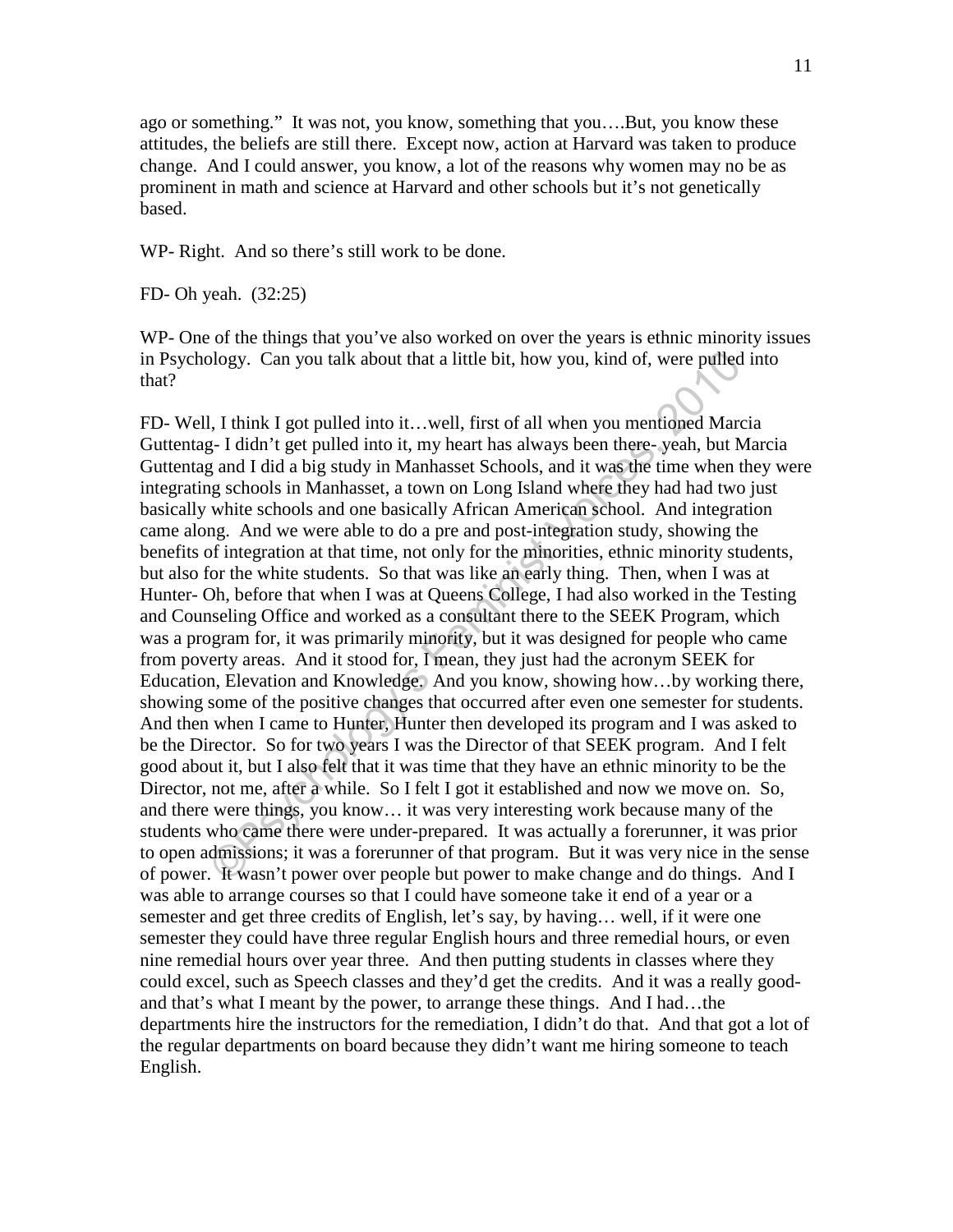ago or something." It was not, you know, something that you….But, you know these attitudes, the beliefs are still there. Except now, action at Harvard was taken to produce change. And I could answer, you know, a lot of the reasons why women may no be as prominent in math and science at Harvard and other schools but it's not genetically based.

WP- Right. And so there's still work to be done.

FD- Oh yeah. (32:25)

WP- One of the things that you've also worked on over the years is ethnic minority issues in Psychology. Can you talk about that a little bit, how you, kind of, were pulled into that?

blogy. Can you talk about that a little bit, how you, kind of, were pulled<br>
1, I think I got pulled into it...well, first of all when you mentioned Marci<br>
2- I didn't get pulled into it, my heart has always been there-yeah FD- Well, I think I got pulled into it…well, first of all when you mentioned Marcia Guttentag- I didn't get pulled into it, my heart has always been there- yeah, but Marcia Guttentag and I did a big study in Manhasset Schools, and it was the time when they were integrating schools in Manhasset, a town on Long Island where they had had two just basically white schools and one basically African American school. And integration came along. And we were able to do a pre and post-integration study, showing the benefits of integration at that time, not only for the minorities, ethnic minority students, but also for the white students. So that was like an early thing. Then, when I was at Hunter- Oh, before that when I was at Queens College, I had also worked in the Testing and Counseling Office and worked as a consultant there to the SEEK Program, which was a program for, it was primarily minority, but it was designed for people who came from poverty areas. And it stood for, I mean, they just had the acronym SEEK for Education, Elevation and Knowledge. And you know, showing how…by working there, showing some of the positive changes that occurred after even one semester for students. And then when I came to Hunter, Hunter then developed its program and I was asked to be the Director. So for two years I was the Director of that SEEK program. And I felt good about it, but I also felt that it was time that they have an ethnic minority to be the Director, not me, after a while. So I felt I got it established and now we move on. So, and there were things, you know… it was very interesting work because many of the students who came there were under-prepared. It was actually a forerunner, it was prior to open admissions; it was a forerunner of that program. But it was very nice in the sense of power. It wasn't power over people but power to make change and do things. And I was able to arrange courses so that I could have someone take it end of a year or a semester and get three credits of English, let's say, by having… well, if it were one semester they could have three regular English hours and three remedial hours, or even nine remedial hours over year three. And then putting students in classes where they could excel, such as Speech classes and they'd get the credits. And it was a really goodand that's what I meant by the power, to arrange these things. And I had…the departments hire the instructors for the remediation, I didn't do that. And that got a lot of the regular departments on board because they didn't want me hiring someone to teach English.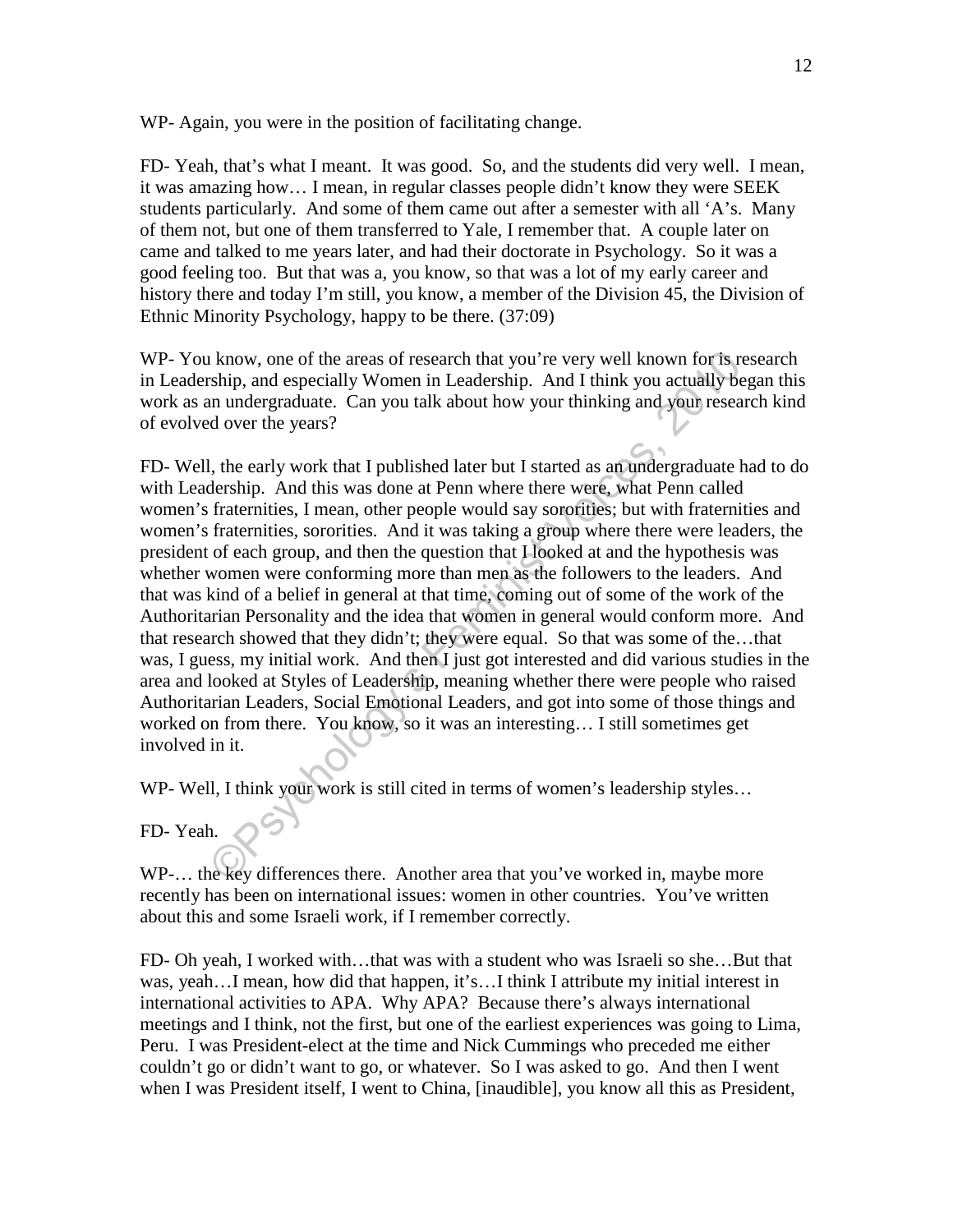WP- Again, you were in the position of facilitating change.

FD- Yeah, that's what I meant. It was good. So, and the students did very well. I mean, it was amazing how… I mean, in regular classes people didn't know they were SEEK students particularly. And some of them came out after a semester with all 'A's. Many of them not, but one of them transferred to Yale, I remember that. A couple later on came and talked to me years later, and had their doctorate in Psychology. So it was a good feeling too. But that was a, you know, so that was a lot of my early career and history there and today I'm still, you know, a member of the Division 45, the Division of Ethnic Minority Psychology, happy to be there. (37:09)

WP- You know, one of the areas of research that you're very well known for is research in Leadership, and especially Women in Leadership. And I think you actually began this work as an undergraduate. Can you talk about how your thinking and your research kind of evolved over the years?

It know, one of the areas of research that you're very well known for is reship, and especially Women in Leadership. And I think you actually begind and nundergraduate. Can you talk about how your thinking and your researc FD- Well, the early work that I published later but I started as an undergraduate had to do with Leadership. And this was done at Penn where there were, what Penn called women's fraternities, I mean, other people would say sororities; but with fraternities and women's fraternities, sororities. And it was taking a group where there were leaders, the president of each group, and then the question that I looked at and the hypothesis was whether women were conforming more than men as the followers to the leaders. And that was kind of a belief in general at that time, coming out of some of the work of the Authoritarian Personality and the idea that women in general would conform more. And that research showed that they didn't; they were equal. So that was some of the…that was, I guess, my initial work. And then I just got interested and did various studies in the area and looked at Styles of Leadership, meaning whether there were people who raised Authoritarian Leaders, Social Emotional Leaders, and got into some of those things and worked on from there. You know, so it was an interesting… I still sometimes get involved in it.

WP- Well, I think your work is still cited in terms of women's leadership styles…

### FD- Yeah.

WP-… the key differences there. Another area that you've worked in, maybe more recently has been on international issues: women in other countries. You've written about this and some Israeli work, if I remember correctly.

FD- Oh yeah, I worked with…that was with a student who was Israeli so she…But that was, yeah…I mean, how did that happen, it's…I think I attribute my initial interest in international activities to APA. Why APA? Because there's always international meetings and I think, not the first, but one of the earliest experiences was going to Lima, Peru. I was President-elect at the time and Nick Cummings who preceded me either couldn't go or didn't want to go, or whatever. So I was asked to go. And then I went when I was President itself, I went to China, [inaudible], you know all this as President,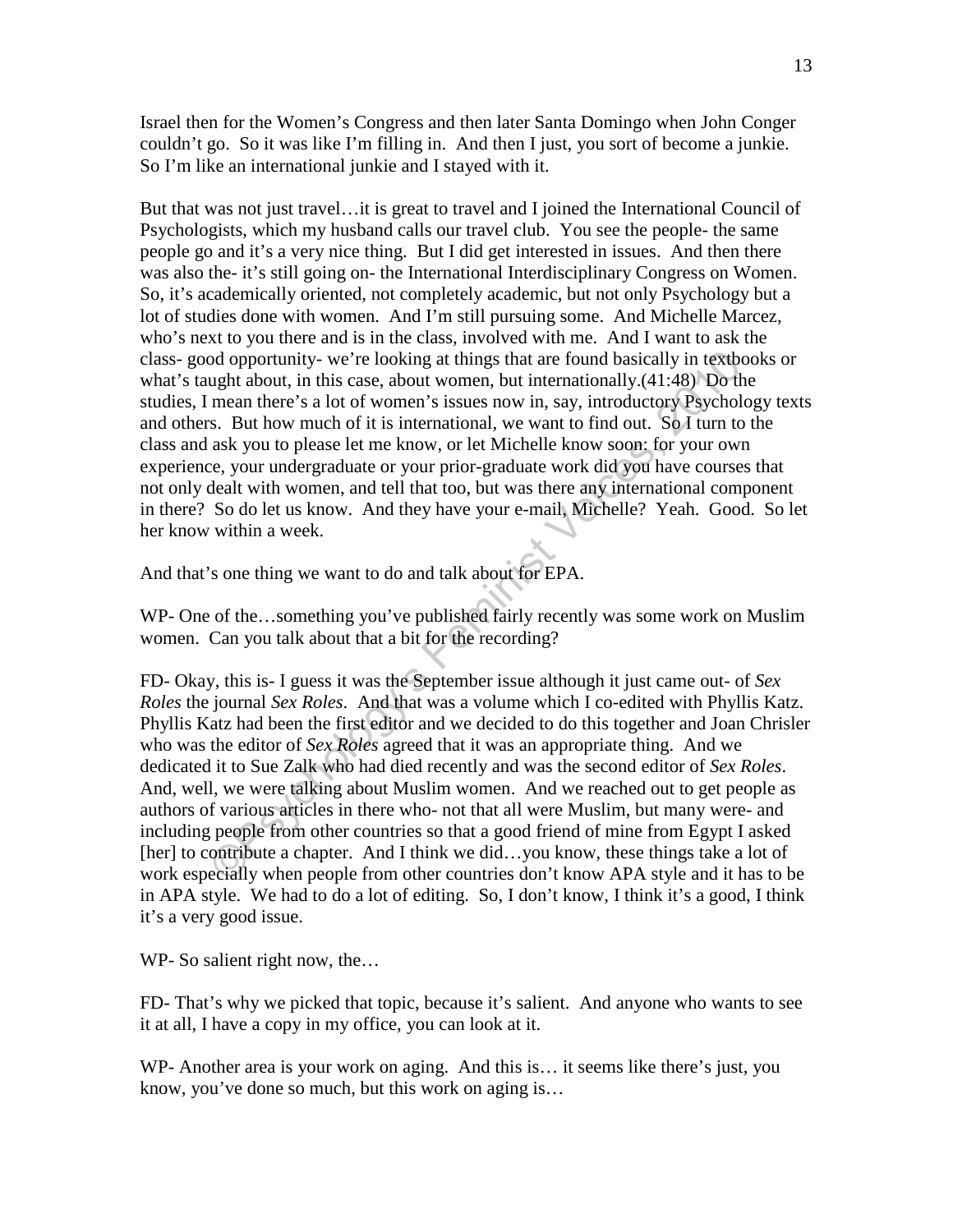Israel then for the Women's Congress and then later Santa Domingo when John Conger couldn't go. So it was like I'm filling in. And then I just, you sort of become a junkie. So I'm like an international junkie and I stayed with it.

But that was not just travel…it is great to travel and I joined the International Council of Psychologists, which my husband calls our travel club. You see the people- the same people go and it's a very nice thing. But I did get interested in issues. And then there was also the- it's still going on- the International Interdisciplinary Congress on Women. So, it's academically oriented, not completely academic, but not only Psychology but a lot of studies done with women. And I'm still pursuing some. And Michelle Marcez, who's next to you there and is in the class, involved with me. And I want to ask the class- good opportunity- we're looking at things that are found basically in textbooks or what's taught about, in this case, about women, but internationally.(41:48) Do the studies, I mean there's a lot of women's issues now in, say, introductory Psychology texts and others. But how much of it is international, we want to find out. So I turn to the class and ask you to please let me know, or let Michelle know soon: for your own experience, your undergraduate or your prior-graduate work did you have courses that not only dealt with women, and tell that too, but was there any international component in there? So do let us know. And they have your e-mail, Michelle? Yeah. Good. So let her know within a week.

And that's one thing we want to do and talk about for EPA.

WP- One of the…something you've published fairly recently was some work on Muslim women. Can you talk about that a bit for the recording?

od opportunity- we're looking at things that are found basically in textbo-<br>ught about, in this case, about women, but internationally.(41:48) Do the<br>mean there's a lot of women's issues now in, say, introductory Psycholo FD- Okay, this is- I guess it was the September issue although it just came out- of *Sex Roles* the journal *Sex Roles*. And that was a volume which I co-edited with Phyllis Katz. Phyllis Katz had been the first editor and we decided to do this together and Joan Chrisler who was the editor of *Sex Roles* agreed that it was an appropriate thing. And we dedicated it to Sue Zalk who had died recently and was the second editor of *Sex Roles*. And, well, we were talking about Muslim women. And we reached out to get people as authors of various articles in there who- not that all were Muslim, but many were- and including people from other countries so that a good friend of mine from Egypt I asked [her] to contribute a chapter. And I think we did…you know, these things take a lot of work especially when people from other countries don't know APA style and it has to be in APA style. We had to do a lot of editing. So, I don't know, I think it's a good, I think it's a very good issue.

WP- So salient right now, the...

FD- That's why we picked that topic, because it's salient. And anyone who wants to see it at all, I have a copy in my office, you can look at it.

WP- Another area is your work on aging. And this is... it seems like there's just, you know, you've done so much, but this work on aging is…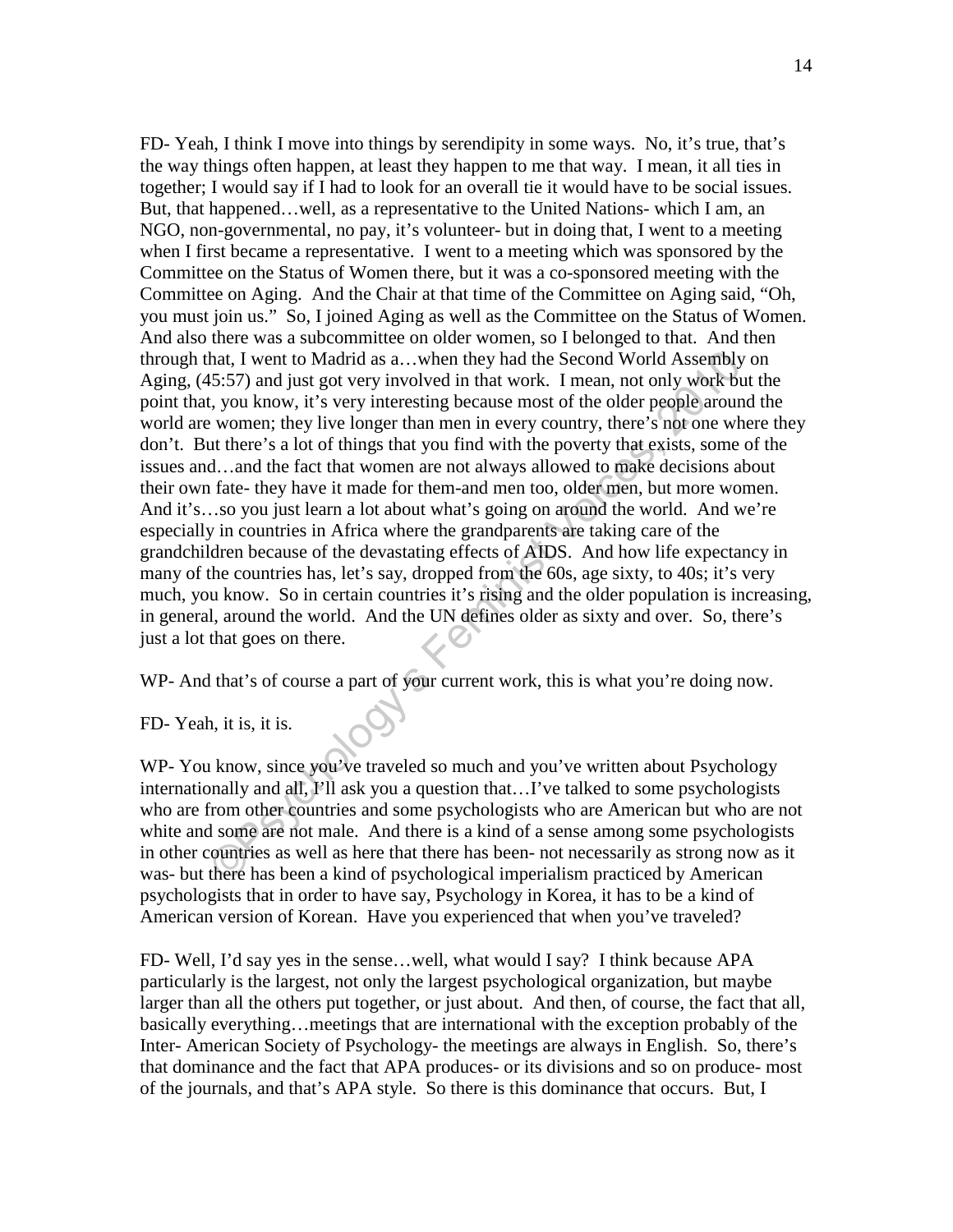hat, I went to Madrid as a...when they had the Second World Assembly<br>15:57) and just got very involved in that work. I mean, not only work-but<br>16:57) and just got very involved in that work. I mean, not only work-but<br>16:17 FD- Yeah, I think I move into things by serendipity in some ways. No, it's true, that's the way things often happen, at least they happen to me that way. I mean, it all ties in together; I would say if I had to look for an overall tie it would have to be social issues. But, that happened…well, as a representative to the United Nations- which I am, an NGO, non-governmental, no pay, it's volunteer- but in doing that, I went to a meeting when I first became a representative. I went to a meeting which was sponsored by the Committee on the Status of Women there, but it was a co-sponsored meeting with the Committee on Aging. And the Chair at that time of the Committee on Aging said, "Oh, you must join us." So, I joined Aging as well as the Committee on the Status of Women. And also there was a subcommittee on older women, so I belonged to that. And then through that, I went to Madrid as a…when they had the Second World Assembly on Aging, (45:57) and just got very involved in that work. I mean, not only work but the point that, you know, it's very interesting because most of the older people around the world are women; they live longer than men in every country, there's not one where they don't. But there's a lot of things that you find with the poverty that exists, some of the issues and…and the fact that women are not always allowed to make decisions about their own fate- they have it made for them-and men too, older men, but more women. And it's…so you just learn a lot about what's going on around the world. And we're especially in countries in Africa where the grandparents are taking care of the grandchildren because of the devastating effects of AIDS. And how life expectancy in many of the countries has, let's say, dropped from the 60s, age sixty, to 40s; it's very much, you know. So in certain countries it's rising and the older population is increasing, in general, around the world. And the UN defines older as sixty and over. So, there's just a lot that goes on there.

WP- And that's of course a part of your current work, this is what you're doing now.

FD- Yeah, it is, it is.

WP- You know, since you've traveled so much and you've written about Psychology internationally and all, I'll ask you a question that…I've talked to some psychologists who are from other countries and some psychologists who are American but who are not white and some are not male. And there is a kind of a sense among some psychologists in other countries as well as here that there has been- not necessarily as strong now as it was- but there has been a kind of psychological imperialism practiced by American psychologists that in order to have say, Psychology in Korea, it has to be a kind of American version of Korean. Have you experienced that when you've traveled?

FD- Well, I'd say yes in the sense…well, what would I say? I think because APA particularly is the largest, not only the largest psychological organization, but maybe larger than all the others put together, or just about. And then, of course, the fact that all, basically everything…meetings that are international with the exception probably of the Inter- American Society of Psychology- the meetings are always in English. So, there's that dominance and the fact that APA produces- or its divisions and so on produce- most of the journals, and that's APA style. So there is this dominance that occurs. But, I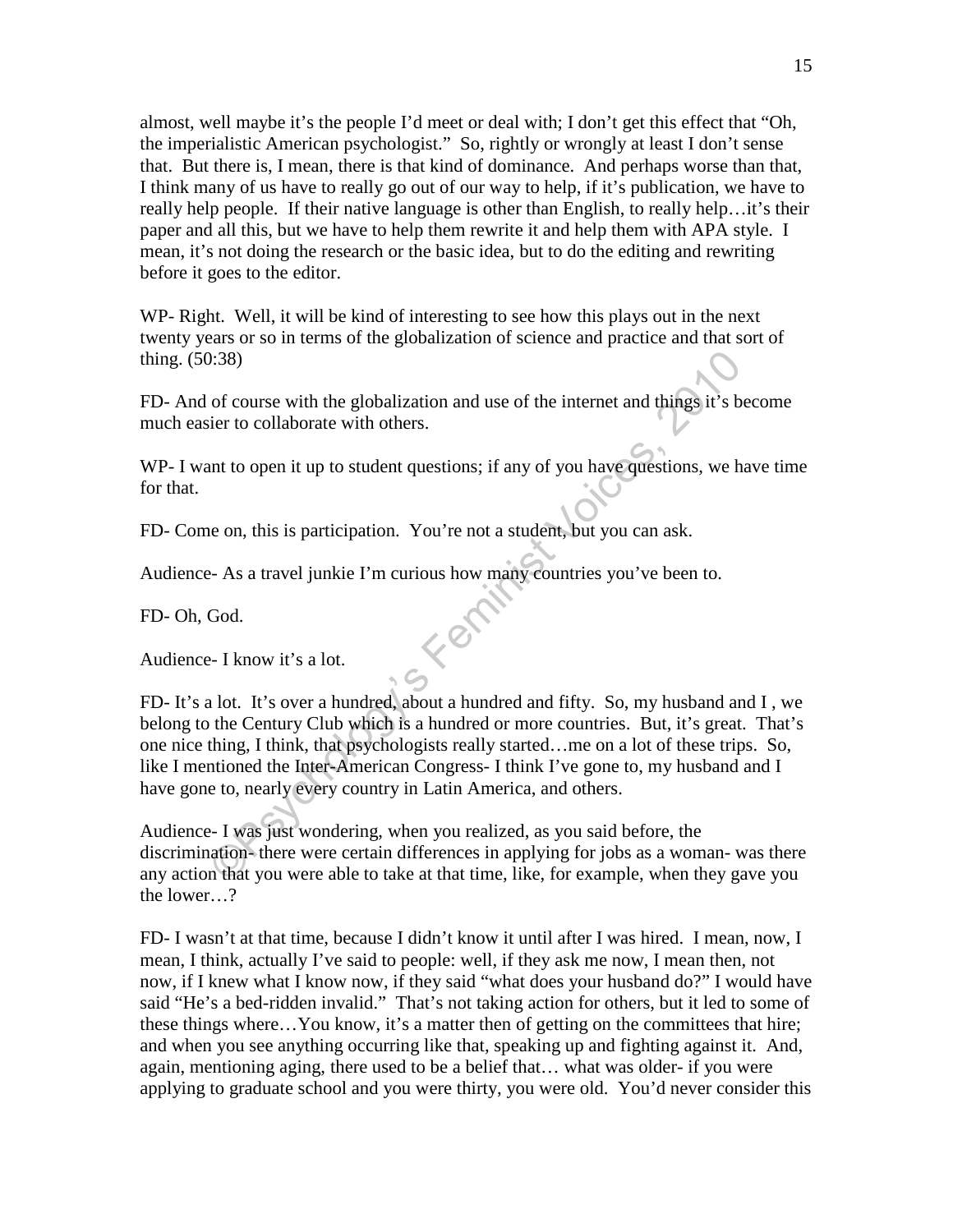almost, well maybe it's the people I'd meet or deal with; I don't get this effect that "Oh, the imperialistic American psychologist." So, rightly or wrongly at least I don't sense that. But there is, I mean, there is that kind of dominance. And perhaps worse than that, I think many of us have to really go out of our way to help, if it's publication, we have to really help people. If their native language is other than English, to really help…it's their paper and all this, but we have to help them rewrite it and help them with APA style. I mean, it's not doing the research or the basic idea, but to do the editing and rewriting before it goes to the editor.

WP- Right. Well, it will be kind of interesting to see how this plays out in the next twenty years or so in terms of the globalization of science and practice and that sort of thing. (50:38)

FD- And of course with the globalization and use of the internet and things it's become much easier to collaborate with others.

WP- I want to open it up to student questions; if any of you have questions, we have time for that.

FD- Come on, this is participation. You're not a student, but you can ask.

Audience- As a travel junkie I'm curious how many countries you've been to.

FD- Oh, God.

Audience- I know it's a lot.

Compare with the globalization and use of the internet and things it's be<br>
ier to collaborate with others.<br>
In to open it up to student questions; if any of you have questions, we had<br>
the on, this is participation. You're FD- It's a lot. It's over a hundred, about a hundred and fifty. So, my husband and I , we belong to the Century Club which is a hundred or more countries. But, it's great. That's one nice thing, I think, that psychologists really started…me on a lot of these trips. So, like I mentioned the Inter-American Congress- I think I've gone to, my husband and I have gone to, nearly every country in Latin America, and others.

Audience- I was just wondering, when you realized, as you said before, the discrimination- there were certain differences in applying for jobs as a woman- was there any action that you were able to take at that time, like, for example, when they gave you the lower…?

FD- I wasn't at that time, because I didn't know it until after I was hired. I mean, now, I mean, I think, actually I've said to people: well, if they ask me now, I mean then, not now, if I knew what I know now, if they said "what does your husband do?" I would have said "He's a bed-ridden invalid." That's not taking action for others, but it led to some of these things where…You know, it's a matter then of getting on the committees that hire; and when you see anything occurring like that, speaking up and fighting against it. And, again, mentioning aging, there used to be a belief that… what was older- if you were applying to graduate school and you were thirty, you were old. You'd never consider this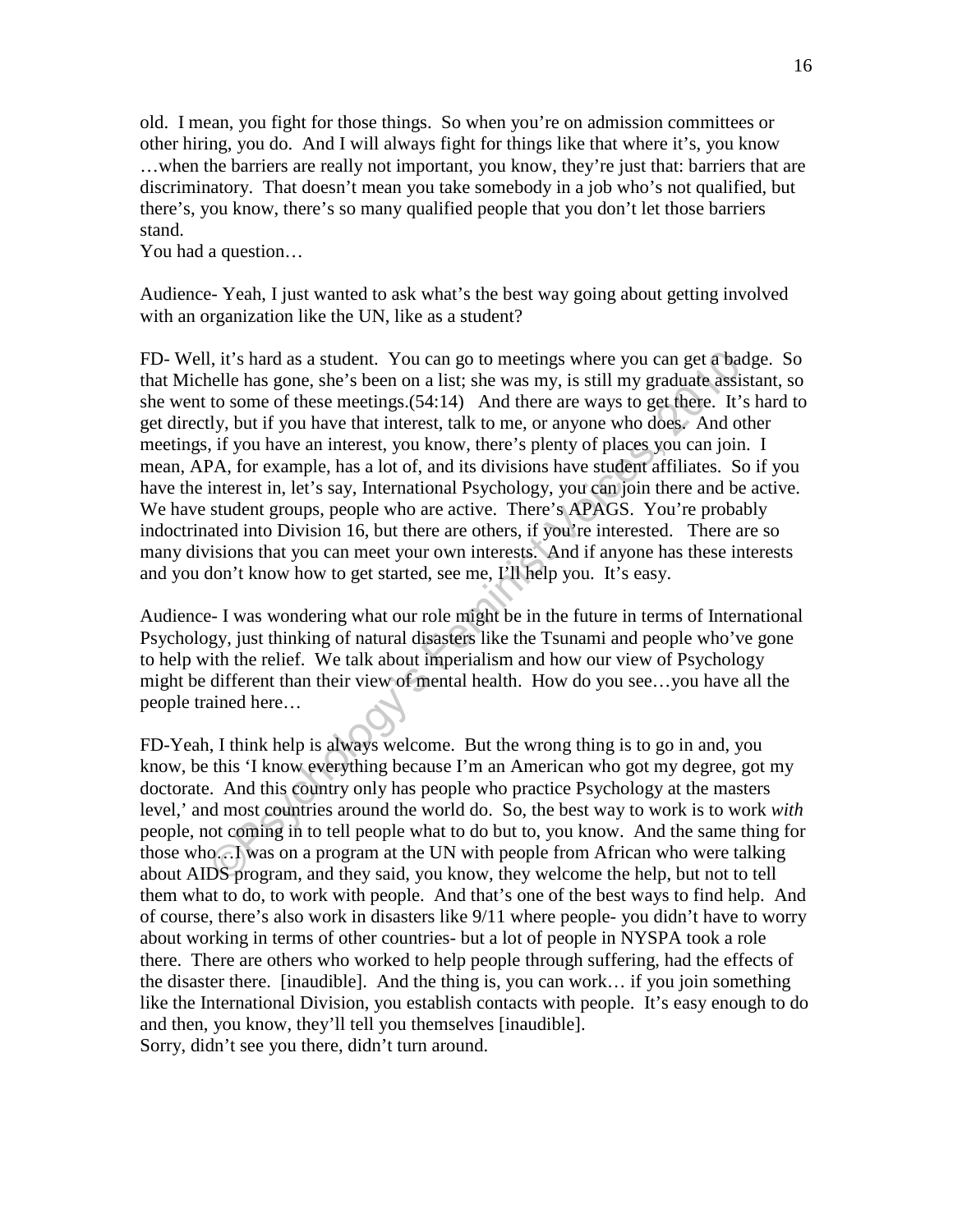old. I mean, you fight for those things. So when you're on admission committees or other hiring, you do. And I will always fight for things like that where it's, you know …when the barriers are really not important, you know, they're just that: barriers that are discriminatory. That doesn't mean you take somebody in a job who's not qualified, but there's, you know, there's so many qualified people that you don't let those barriers stand.

You had a question…

Audience- Yeah, I just wanted to ask what's the best way going about getting involved with an organization like the UN, like as a student?

l, it's hard as a student. You can go to meetings where you can get a bad<br>elle has gone, she's been on a ilst; she was my, is still my graduate assis<br>to to some of these meetings. (54:14) And there are ways to get there. I FD- Well, it's hard as a student. You can go to meetings where you can get a badge. So that Michelle has gone, she's been on a list; she was my, is still my graduate assistant, so she went to some of these meetings.(54:14) And there are ways to get there. It's hard to get directly, but if you have that interest, talk to me, or anyone who does. And other meetings, if you have an interest, you know, there's plenty of places you can join. I mean, APA, for example, has a lot of, and its divisions have student affiliates. So if you have the interest in, let's say, International Psychology, you can join there and be active. We have student groups, people who are active. There's APAGS. You're probably indoctrinated into Division 16, but there are others, if you're interested. There are so many divisions that you can meet your own interests. And if anyone has these interests and you don't know how to get started, see me, I'll help you. It's easy.

Audience- I was wondering what our role might be in the future in terms of International Psychology, just thinking of natural disasters like the Tsunami and people who've gone to help with the relief. We talk about imperialism and how our view of Psychology might be different than their view of mental health. How do you see…you have all the people trained here…

FD-Yeah, I think help is always welcome. But the wrong thing is to go in and, you know, be this 'I know everything because I'm an American who got my degree, got my doctorate. And this country only has people who practice Psychology at the masters level,' and most countries around the world do. So, the best way to work is to work *with* people, not coming in to tell people what to do but to, you know. And the same thing for those who…I was on a program at the UN with people from African who were talking about AIDS program, and they said, you know, they welcome the help, but not to tell them what to do, to work with people. And that's one of the best ways to find help. And of course, there's also work in disasters like 9/11 where people- you didn't have to worry about working in terms of other countries- but a lot of people in NYSPA took a role there. There are others who worked to help people through suffering, had the effects of the disaster there. [inaudible]. And the thing is, you can work… if you join something like the International Division, you establish contacts with people. It's easy enough to do and then, you know, they'll tell you themselves [inaudible]. Sorry, didn't see you there, didn't turn around.